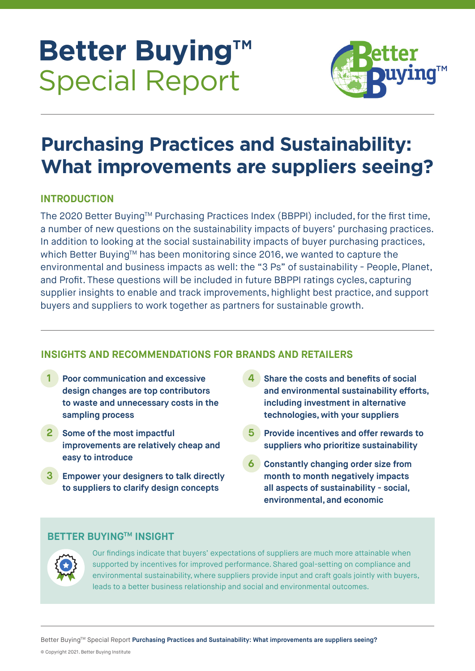# **Better Buying™ Special Report**



# **Purchasing Practices and Sustainability: What improvements are suppliers seeing?**

# **INTRODUCTION**

The 2020 Better Buying™ Purchasing Practices Index (BBPPI) included, for the first time, a number of new questions on the sustainability impacts of buyers' purchasing practices. In addition to looking at the social sustainability impacts of buyer purchasing practices, which Better Buying™ has been monitoring since 2016, we wanted to capture the environmental and business impacts as well: the "3 Ps" of sustainability - People, Planet, and Profit. These questions will be included in future BBPPI ratings cycles, capturing supplier insights to enable and track improvements, highlight best practice, and support buyers and suppliers to work together as partners for sustainable growth.

# **INSIGHTS AND RECOMMENDATIONS FOR BRANDS AND RETAILERS**

- **1 Poor communication and excessive design changes are top contributors to waste and unnecessary costs in the sampling process**
- **2 Some of the most impactful improvements are relatively cheap and easy to introduce**
- **3 Empower your designers to talk directly to suppliers to clarify design concepts**
- **4 Share the costs and benefits of social and environmental sustainability efforts, including investment in alternative technologies, with your suppliers**
- **5 Provide incentives and offer rewards to suppliers who prioritize sustainability**
- **6 Constantly changing order size from month to month negatively impacts all aspects of sustainability - social, environmental, and economic**

### **BETTER BUYING™ INSIGHT**



Our findings indicate that buyers' expectations of suppliers are much more attainable when supported by incentives for improved performance. Shared goal-setting on compliance and environmental sustainability, where suppliers provide input and craft goals jointly with buyers, leads to a better business relationship and social and environmental outcomes.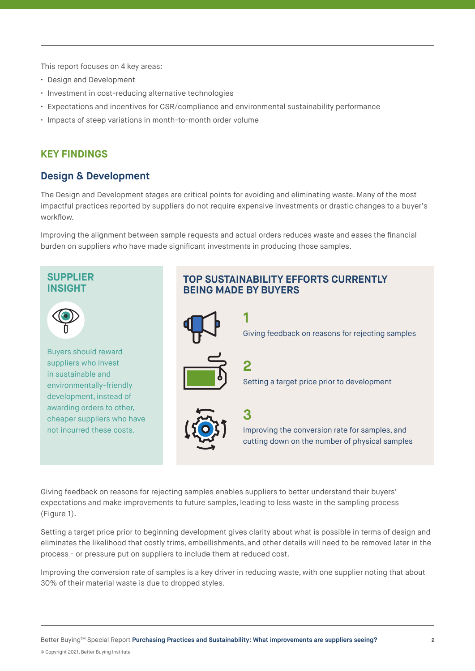This report focuses on 4 key areas:

- Design and Development
- Investment in cost-reducing alternative technologies
- Expectations and incentives for CSR/compliance and environmental sustainability performance
- Impacts of steep variations in month-to-month order volume

#### **KEY FINDINGS**

#### **Design & Development**

The Design and Development stages are critical points for avoiding and eliminating waste. Many of the most impactful practices reported by suppliers do not require expensive investments or drastic changes to a buyer's workflow.

Improving the alignment between sample requests and actual orders reduces waste and eases the financial burden on suppliers who have made significant investments in producing those samples.

#### **SUPPLIER INSIGHT**



Buyers should reward suppliers who invest in sustainable and environmentally-friendly development, instead of awarding orders to other, cheaper suppliers who have not incurred these costs.

### **TOP SUSTAINABILITY EFFORTS CURRENTLY BEING MADE BY BUYERS**



Giving feedback on reasons for rejecting samples enables suppliers to better understand their buyers' expectations and make improvements to future samples, leading to less waste in the sampling process (Figure 1).

Setting a target price prior to beginning development gives clarity about what is possible in terms of design and eliminates the likelihood that costly trims, embellishments, and other details will need to be removed later in the process - or pressure put on suppliers to include them at reduced cost.

Improving the conversion rate of samples is a key driver in reducing waste, with one supplier noting that about 30% of their material waste is due to dropped styles.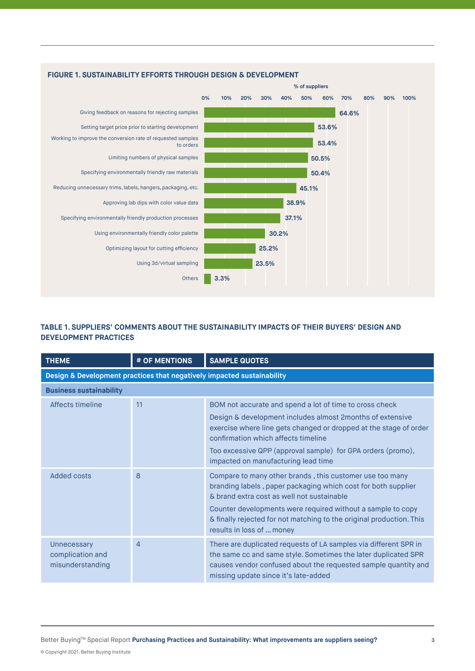

#### **FIGURE 1. SUSTAINABILITY EFFORTS THROUGH DESIGN & DEVELOPMENT**

#### **TABLE 1. SUPPLIERS' COMMENTS ABOUT THE SUSTAINABILITY IMPACTS OF THEIR BUYERS' DESIGN AND DEVELOPMENT PRACTICES**

| <b>THEME</b>                                                           | # OF MENTIONS | <b>SAMPLE QUOTES</b>                                                                                                                                                                                                                                                                                                                        |  |  |
|------------------------------------------------------------------------|---------------|---------------------------------------------------------------------------------------------------------------------------------------------------------------------------------------------------------------------------------------------------------------------------------------------------------------------------------------------|--|--|
| Design & Development practices that negatively impacted sustainability |               |                                                                                                                                                                                                                                                                                                                                             |  |  |
| <b>Business sustainability</b>                                         |               |                                                                                                                                                                                                                                                                                                                                             |  |  |
| Affects timeline                                                       | 11            | BOM not accurate and spend a lot of time to cross check<br>Design & development includes almost 2 months of extensive<br>exercise where line gets changed or dropped at the stage of order<br>confirmation which affects timeline<br>Too excessive QPP (approval sample) for GPA orders (promo),<br>impacted on manufacturing lead time     |  |  |
| Added costs                                                            | 8             | Compare to many other brands, this customer use too many<br>branding labels, paper packaging which cost for both supplier<br>& brand extra cost as well not sustainable<br>Counter developments were required without a sample to copy<br>& finally rejected for not matching to the original production. This<br>results in loss of  money |  |  |
| Unnecessary<br>complication and<br>misunderstanding                    | 4             | There are duplicated requests of LA samples via different SPR in<br>the same cc and same style. Sometimes the later duplicated SPR<br>causes vendor confused about the requested sample quantity and<br>missing update since it's late-added                                                                                                |  |  |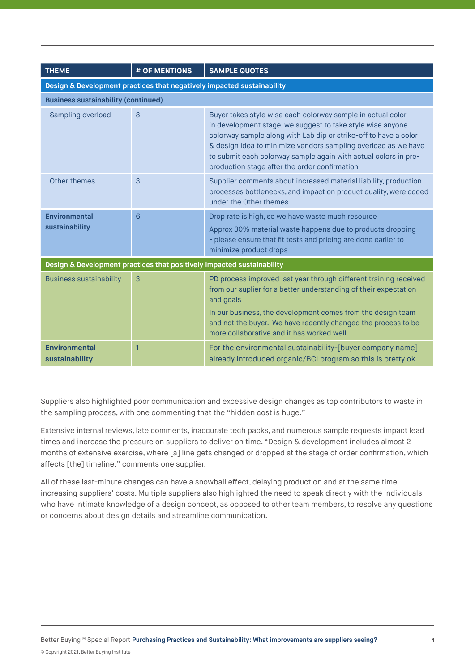| <b>THEME</b>                                                           | # OF MENTIONS | <b>SAMPLE QUOTES</b>                                                                                                                                                                                                                                                                                                                                                                |  |  |
|------------------------------------------------------------------------|---------------|-------------------------------------------------------------------------------------------------------------------------------------------------------------------------------------------------------------------------------------------------------------------------------------------------------------------------------------------------------------------------------------|--|--|
| Design & Development practices that negatively impacted sustainability |               |                                                                                                                                                                                                                                                                                                                                                                                     |  |  |
| <b>Business sustainability (continued)</b>                             |               |                                                                                                                                                                                                                                                                                                                                                                                     |  |  |
| Sampling overload                                                      | 3             | Buyer takes style wise each colorway sample in actual color<br>in development stage, we suggest to take style wise anyone<br>colorway sample along with Lab dip or strike-off to have a color<br>& design idea to minimize vendors sampling overload as we have<br>to submit each colorway sample again with actual colors in pre-<br>production stage after the order confirmation |  |  |
| Other themes                                                           | 3             | Supplier comments about increased material liability, production<br>processes bottlenecks, and impact on product quality, were coded<br>under the Other themes                                                                                                                                                                                                                      |  |  |
| <b>Environmental</b><br>sustainability                                 | 6             | Drop rate is high, so we have waste much resource<br>Approx 30% material waste happens due to products dropping<br>- please ensure that fit tests and pricing are done earlier to<br>minimize product drops                                                                                                                                                                         |  |  |
| Design & Development practices that positively impacted sustainability |               |                                                                                                                                                                                                                                                                                                                                                                                     |  |  |
| <b>Business sustainability</b>                                         | 3             | PD process improved last year through different training received<br>from our suplier for a better understanding of their expectation<br>and goals<br>In our business, the development comes from the design team<br>and not the buyer. We have recently changed the process to be<br>more collaborative and it has worked well                                                     |  |  |
| <b>Environmental</b><br>sustainability                                 |               | For the environmental sustainability-[buyer company name]<br>already introduced organic/BCI program so this is pretty ok                                                                                                                                                                                                                                                            |  |  |

Suppliers also highlighted poor communication and excessive design changes as top contributors to waste in the sampling process, with one commenting that the "hidden cost is huge."

Extensive internal reviews, late comments, inaccurate tech packs, and numerous sample requests impact lead times and increase the pressure on suppliers to deliver on time. "Design & development includes almost 2 months of extensive exercise, where [a] line gets changed or dropped at the stage of order confirmation, which affects [the] timeline," comments one supplier.

All of these last-minute changes can have a snowball effect, delaying production and at the same time increasing suppliers' costs. Multiple suppliers also highlighted the need to speak directly with the individuals who have intimate knowledge of a design concept, as opposed to other team members, to resolve any questions or concerns about design details and streamline communication.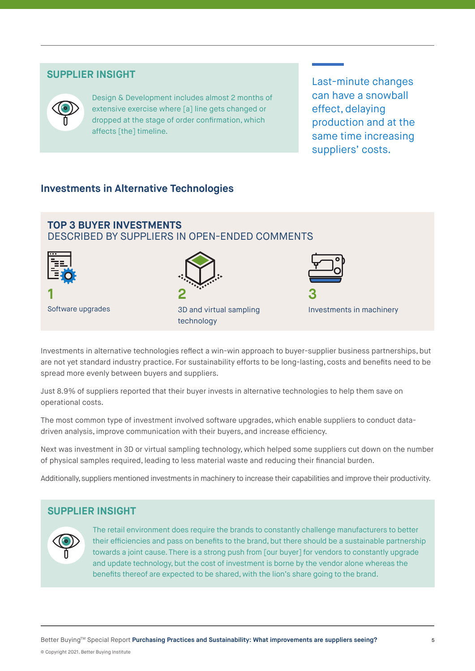#### **SUPPLIER INSIGHT**



Design & Development includes almost 2 months of extensive exercise where [a] line gets changed or dropped at the stage of order confirmation, which affects [the] timeline.

Last-minute changes can have a snowball effect, delaying production and at the same time increasing suppliers' costs.

### **Investments in Alternative Technologies**



**1** Software upgrades







Investments in machinery

Investments in alternative technologies reflect a win-win approach to buyer-supplier business partnerships, but are not yet standard industry practice. For sustainability efforts to be long-lasting, costs and benefits need to be spread more evenly between buyers and suppliers.

Just 8.9% of suppliers reported that their buyer invests in alternative technologies to help them save on operational costs.

The most common type of investment involved software upgrades, which enable suppliers to conduct datadriven analysis, improve communication with their buyers, and increase efficiency.

Next was investment in 3D or virtual sampling technology, which helped some suppliers cut down on the number of physical samples required, leading to less material waste and reducing their financial burden.

Additionally, suppliers mentioned investments in machinery to increase their capabilities and improve their productivity.

#### **SUPPLIER INSIGHT**



The retail environment does require the brands to constantly challenge manufacturers to better their efficiencies and pass on benefits to the brand, but there should be a sustainable partnership towards a joint cause. There is a strong push from [our buyer] for vendors to constantly upgrade and update technology, but the cost of investment is borne by the vendor alone whereas the benefits thereof are expected to be shared, with the lion's share going to the brand.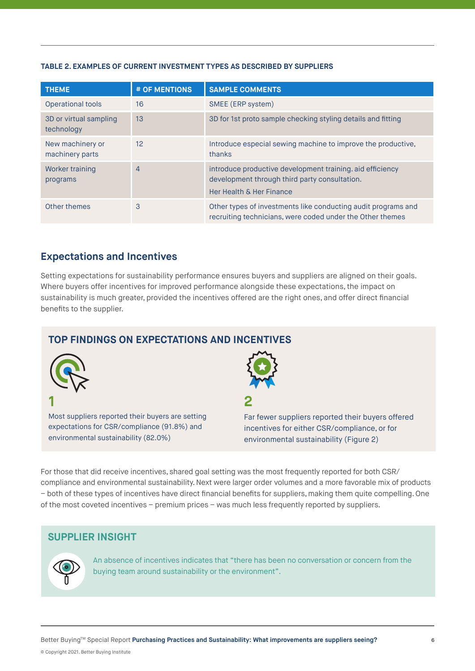#### **TABLE 2. EXAMPLES OF CURRENT INVESTMENT TYPES AS DESCRIBED BY SUPPLIERS**

| <b>THEME</b>                         | # OF MENTIONS   | <b>SAMPLE COMMENTS</b>                                                                                                                 |
|--------------------------------------|-----------------|----------------------------------------------------------------------------------------------------------------------------------------|
| Operational tools                    | 16              | SMEE (ERP system)                                                                                                                      |
| 3D or virtual sampling<br>technology | 13              | 3D for 1st proto sample checking styling details and fitting                                                                           |
| New machinery or<br>machinery parts  | 12 <sup>°</sup> | Introduce especial sewing machine to improve the productive,<br>thanks                                                                 |
| Worker training<br>programs          | $\overline{4}$  | introduce productive development training, aid efficiency<br>development through third party consultation.<br>Her Health & Her Finance |
| Other themes                         | 3               | Other types of investments like conducting audit programs and<br>recruiting technicians, were coded under the Other themes             |

#### **Expectations and Incentives**

Setting expectations for sustainability performance ensures buyers and suppliers are aligned on their goals. Where buyers offer incentives for improved performance alongside these expectations, the impact on sustainability is much greater, provided the incentives offered are the right ones, and offer direct financial benefits to the supplier.

## **TOP FINDINGS ON EXPECTATIONS AND INCENTIVES**



Most suppliers reported their buyers are setting expectations for CSR/compliance (91.8%) and environmental sustainability (82.0%)



**2** 

Far fewer suppliers reported their buyers offered incentives for either CSR/compliance, or for environmental sustainability (Figure 2)

For those that did receive incentives, shared goal setting was the most frequently reported for both CSR/ compliance and environmental sustainability. Next were larger order volumes and a more favorable mix of products – both of these types of incentives have direct financial benefits for suppliers, making them quite compelling. One of the most coveted incentives – premium prices – was much less frequently reported by suppliers.

#### **SUPPLIER INSIGHT**



An absence of incentives indicates that "there has been no conversation or concern from the buying team around sustainability or the environment".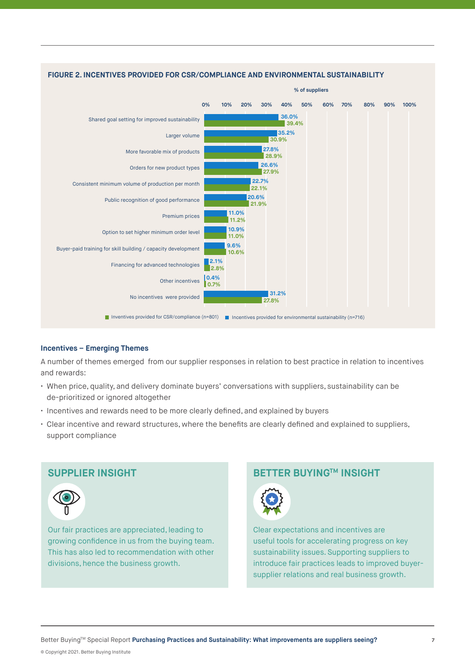

#### **Incentives – Emerging Themes**

A number of themes emerged from our supplier responses in relation to best practice in relation to incentives and rewards:

- When price, quality, and delivery dominate buyers' conversations with suppliers, sustainability can be de-prioritized or ignored altogether
- Incentives and rewards need to be more clearly defined, and explained by buyers
- Clear incentive and reward structures, where the benefits are clearly defined and explained to suppliers, support compliance

### **SUPPLIER INSIGHT**



Our fair practices are appreciated, leading to growing confidence in us from the buying team. This has also led to recommendation with other divisions, hence the business growth.

# **BETTER BUYING™ INSIGHT**



Clear expectations and incentives are useful tools for accelerating progress on key sustainability issues. Supporting suppliers to introduce fair practices leads to improved buyersupplier relations and real business growth.